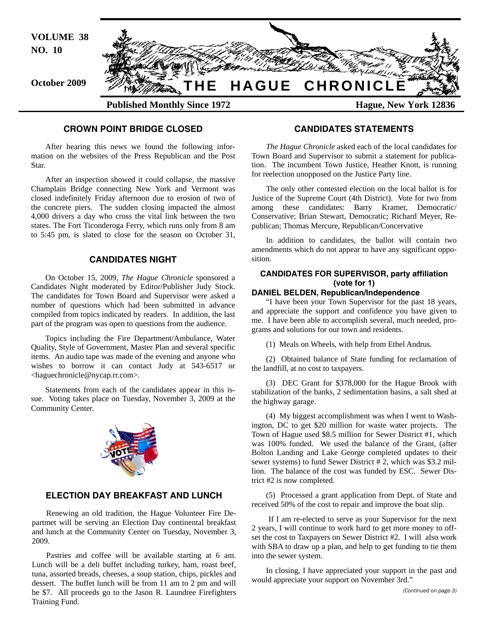

### **CROWN POINT BRIDGE CLOSED**

After hearing this news we found the following information on the websites of the Press Republican and the Post Star.

After an inspection showed it could collapse, the massive Champlain Bridge connecting New York and Vermont was closed indefinitely Friday afternoon due to erosion of two of the concrete piers. The sudden closing impacted the almost 4,000 drivers a day who cross the vital link between the two states. The Fort Ticonderoga Ferry, which runs only from 8 am to 5:45 pm, is slated to close for the season on October 31,

## **CANDIDATES NIGHT**

On October 15, 2009, *The Hague Chronicle* sponsored a Candidates Night moderated by Editor/Publisher Judy Stock. The candidates for Town Board and Supervisor were asked a number of questions which had been submitted in advance compiled from topics indicated by readers. In addition, the last part of the program was open to questions from the audience.

Topics including the Fire Department/Ambulance, Water Quality, Style of Government, Master Plan and several specific items. An audio tape was made of the evening and anyone who wishes to borrow it can contact Judy at 543-6517 or <haguechronicle@nycap.rr.com>.

Statements from each of the candidates appear in this issue. Voting takes place on Tuesday, November 3, 2009 at the Community Center.



### **ELECTION DAY BREAKFAST AND LUNCH**

Renewing an old tradition, the Hague Volunteer Fire Departmet will be serving an Election Day continental breakfast and lunch at the Community Center on Tuesday, November 3, 2009.

Pastries and coffee will be available starting at 6 am. Lunch will be a deli buffet including turkey, ham, roast beef, tuna, assorted breads, cheeses, a soup station, chips, pickles and dessert. The buffet lunch will be from 11 am to 2 pm and will be \$7. All proceeds go to the Jason R. Laundree Firefighters Training Fund.

#### **CANDIDATES STATEMENTS**

*The Hague Chronicle* asked each of the local candidates for Town Board and Supervisor to submit a statement for publication. The incumbent Town Justice, Heather Knott, is running for reelection unopposed on the Justice Party line.

The only other contested election on the local ballot is for Justice of the Supreme Court (4th District). Vote for two from among these candidates: Barry Kramer, Democratic/ Conservative; Brian Stewart, Democratic; Richard Meyer, Republican; Thomas Mercure, Republican/Concervative

In addition to candidates, the ballot will contain two amendments which do not appear to have any significant opposition.

#### **CANDIDATES FOR SUPERVISOR, party affiliation (vote for 1)**

# **DANIEL BELDEN, Republican/Independence**

"I have been your Town Supervisor for the past 18 years, and appreciate the support and confidence you have given to me. I have been able to accomplish several, much needed, programs and solutions for our town and residents.

(1) Meals on Wheels, with help from Ethel Andrus.

(2) Obtained balance of State funding for reclamation of the landfill, at no cost to taxpayers.

(3) DEC Grant for \$378,000 for the Hague Brook with stabilization of the banks, 2 sedimentation basins, a salt shed at the highway garage.

(4) My biggest accomplishment was when I went to Washington, DC to get \$20 million for waste water projects. The Town of Hague used \$8.5 million for Sewer District #1, which was 100% funded. We used the balance of the Grant, (after Bolton Landing and Lake George completed updates to their sewer systems) to fund Sewer District # 2, which was \$3.2 million. The balance of the cost was funded by ESC. Sewer District #2 is now completed.

(5) Processed a grant application from Dept. of State and received 50% of the cost to repair and improve the boat slip.

 If I am re-elected to serve as your Supervisor for the next 2 years, I will continue to work hard to get more money to offset the cost to Taxpayers on Sewer District #2. I will also work with SBA to draw up a plan, and help to get funding to tie them into the sewer system.

In closing, I have appreciated your support in the past and would appreciate your support on November 3rd."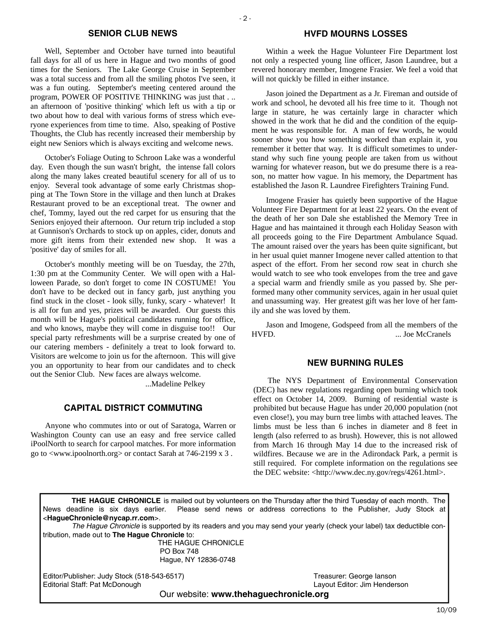#### **SENIOR CLUB NEWS**

Well, September and October have turned into beautiful fall days for all of us here in Hague and two months of good times for the Seniors. The Lake George Cruise in September was a total success and from all the smiling photos I've seen, it was a fun outing. September's meeting centered around the program, POWER OF POSITIVE THINKING was just that . .. an afternoon of 'positive thinking' which left us with a tip or two about how to deal with various forms of stress which everyone experiences from time to time. Also, speaking of Postive Thoughts, the Club has recently increased their membership by eight new Seniors which is always exciting and welcome news.

October's Foliage Outing to Schroon Lake was a wonderful day. Even though the sun wasn't bright, the intense fall colors along the many lakes created beautiful scenery for all of us to enjoy. Several took advantage of some early Christmas shopping at The Town Store in the village and then lunch at Drakes Restaurant proved to be an exceptional treat. The owner and chef, Tommy, layed out the red carpet for us ensuring that the Seniors enjoyed their afternoon. Our return trip included a stop at Gunnison's Orchards to stock up on apples, cider, donuts and more gift items from their extended new shop. It was a 'positive' day of smiles for all.

October's monthly meeting will be on Tuesday, the 27th, 1:30 pm at the Community Center. We will open with a Halloween Parade, so don't forget to come IN COSTUME! You don't have to be decked out in fancy garb, just anything you find stuck in the closet - look silly, funky, scary - whatever! It is all for fun and yes, prizes will be awarded. Our guests this month will be Hague's political candidates running for office, and who knows, maybe they will come in disguise too!! Our special party refreshments will be a surprise created by one of our catering members - definitely a treat to look forward to. Visitors are welcome to join us for the afternoon. This will give you an opportunity to hear from our candidates and to check out the Senior Club. New faces are always welcome.

...Madeline Pelkey

# **CAPITAL DISTRICT COMMUTING**

Anyone who commutes into or out of Saratoga, Warren or Washington County can use an easy and free service called iPoolNorth to search for carpool matches. For more information go to <www.ipoolnorth.org> or contact Sarah at 746-2199 x 3 .

#### **HVFD MOURNS LOSSES**

Within a week the Hague Volunteer Fire Department lost not only a respected young line officer, Jason Laundree, but a revered honorary member, Imogene Frasier. We feel a void that will not quickly be filled in either instance.

Jason joined the Department as a Jr. Fireman and outside of work and school, he devoted all his free time to it. Though not large in stature, he was certainly large in character which showed in the work that he did and the condition of the equipment he was responsible for. A man of few words, he would sooner show you how something worked than explain it, you remember it better that way. It is difficult sometimes to understand why such fine young people are taken from us without warning for whatever reason, but we do presume there is a reason, no matter how vague. In his memory, the Department has established the Jason R. Laundree Firefighters Training Fund.

Imogene Frasier has quietly been supportive of the Hague Volunteer Fire Department for at least 22 years. On the event of the death of her son Dale she established the Memory Tree in Hague and has maintained it through each Holiday Season with all proceeds going to the Fire Department Ambulance Squad. The amount raised over the years has been quite significant, but in her usual quiet manner Imogene never called attention to that aspect of the effort. From her second row seat in church she would watch to see who took envelopes from the tree and gave a special warm and friendly smile as you passed by. She performed many other community services, again in her usual quiet and unassuming way. Her greatest gift was her love of her family and she was loved by them.

Jason and Imogene, Godspeed from all the members of the HVFD. ... Joe McCranels

#### **NEW BURNING RULES**

The NYS Department of Environmental Conservation (DEC) has new regulations regarding open burning which took effect on October 14, 2009. Burning of residential waste is prohibited but because Hague has under 20,000 population (not even close!), you may burn tree limbs with attached leaves. The limbs must be less than 6 inches in diameter and 8 feet in length (also referred to as brush). However, this is not allowed from March 16 through May 14 due to the increased risk of wildfires. Because we are in the Adirondack Park, a permit is still required. For complete information on the regulations see the DEC website: <http://www.dec.ny.gov/regs/4261.html>.

**THE HAGUE CHRONICLE** is mailed out by volunteers on the Thursday after the third Tuesday of each month. The News deadline is six days earlier. Please send news or address corrections to the Publisher, Judy Stock at <**HagueChronicle@nycap.rr.com**>.

*The Hague Chronicle* is supported by its readers and you may send your yearly (check your label) tax deductible contribution, made out to **The Hague Chronicle** to:

> THE HAGUE CHRONICLE PO Box 748 Hague, NY 12836-0748

Editor/Publisher: Judy Stock (518-543-6517)<br>
Editorial Staff: Pat McDonough 
Statiorial Staff: Pat McDonough 
Teasurer: Jim Henderson Editorial Staff: Pat McDonough

Our website: **www.thehaguechronicle.org**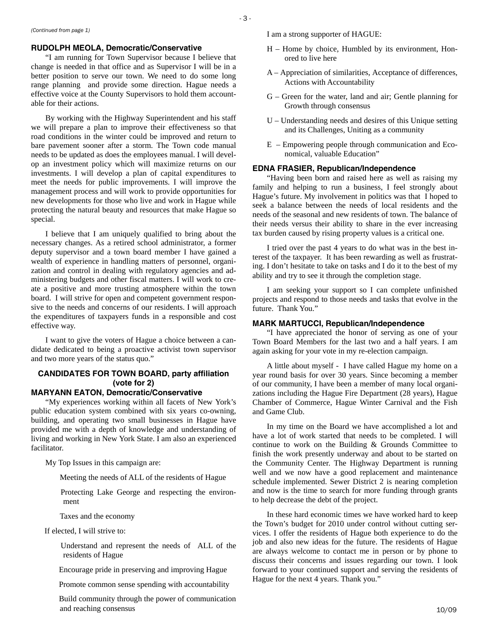#### **RUDOLPH MEOLA, Democratic/Conservative**

"I am running for Town Supervisor because I believe that change is needed in that office and as Supervisor I will be in a better position to serve our town. We need to do some long range planning and provide some direction. Hague needs a effective voice at the County Supervisors to hold them accountable for their actions.

By working with the Highway Superintendent and his staff we will prepare a plan to improve their effectiveness so that road conditions in the winter could be improved and return to bare pavement sooner after a storm. The Town code manual needs to be updated as does the employees manual. I will develop an investment policy which will maximize returns on our investments. I will develop a plan of capital expenditures to meet the needs for public improvements. I will improve the management process and will work to provide opportunities for new developments for those who live and work in Hague while protecting the natural beauty and resources that make Hague so special.

I believe that I am uniquely qualified to bring about the necessary changes. As a retired school administrator, a former deputy supervisor and a town board member I have gained a wealth of experience in handling matters of personnel, organization and control in dealing with regulatory agencies and administering budgets and other fiscal matters. I will work to create a positive and more trusting atmosphere within the town board. I will strive for open and competent government responsive to the needs and concerns of our residents. I will approach the expenditures of taxpayers funds in a responsible and cost effective way.

I want to give the voters of Hague a choice between a candidate dedicated to being a proactive activist town supervisor and two more years of the status quo."

# **CANDIDATES FOR TOWN BOARD, party affiliation (vote for 2)**

#### **MARYANN EATON, Democratic/Conservative**

"My experiences working within all facets of New York's public education system combined with six years co-owning, building, and operating two small businesses in Hague have provided me with a depth of knowledge and understanding of living and working in New York State. I am also an experienced facilitator.

My Top Issues in this campaign are:

Meeting the needs of ALL of the residents of Hague

Protecting Lake George and respecting the environment

Taxes and the economy

If elected, I will strive to:

Understand and represent the needs of ALL of the residents of Hague

Encourage pride in preserving and improving Hague

Promote common sense spending with accountability

and reaching consensus  $10/09$ Build community through the power of communication

*(Continued from page 1)* I am a strong supporter of HAGUE:

- H Home by choice, Humbled by its environment, Honored to live here
- A Appreciation of similarities, Acceptance of differences, Actions with Accountability
- G Green for the water, land and air; Gentle planning for Growth through consensus
- U Understanding needs and desires of this Unique setting and its Challenges, Uniting as a community
- E Empowering people through communication and Economical, valuable Education"

#### **EDNA FRASIER, Republican/Independence**

"Having been born and raised here as well as raising my family and helping to run a business, I feel strongly about Hague's future. My involvement in politics was that I hoped to seek a balance between the needs of local residents and the needs of the seasonal and new residents of town. The balance of their needs versus their ability to share in the ever increasing tax burden caused by rising property values is a critical one.

I tried over the past 4 years to do what was in the best interest of the taxpayer. It has been rewarding as well as frustrating. I don't hesitate to take on tasks and I do it to the best of my ability and try to see it through the completion stage.

I am seeking your support so I can complete unfinished projects and respond to those needs and tasks that evolve in the future. Thank You."

#### **MARK MARTUCCI, Republican/Independence**

"I have appreciated the honor of serving as one of your Town Board Members for the last two and a half years. I am again asking for your vote in my re-election campaign.

A little about myself - I have called Hague my home on a year round basis for over 30 years. Since becoming a member of our community, I have been a member of many local organizations including the Hague Fire Department (28 years), Hague Chamber of Commerce, Hague Winter Carnival and the Fish and Game Club.

In my time on the Board we have accomplished a lot and have a lot of work started that needs to be completed. I will continue to work on the Building & Grounds Committee to finish the work presently underway and about to be started on the Community Center. The Highway Department is running well and we now have a good replacement and maintenance schedule implemented. Sewer District 2 is nearing completion and now is the time to search for more funding through grants to help decrease the debt of the project.

In these hard economic times we have worked hard to keep the Town's budget for 2010 under control without cutting services. I offer the residents of Hague both experience to do the job and also new ideas for the future. The residents of Hague are always welcome to contact me in person or by phone to discuss their concerns and issues regarding our town. I look forward to your continued support and serving the residents of Hague for the next 4 years. Thank you."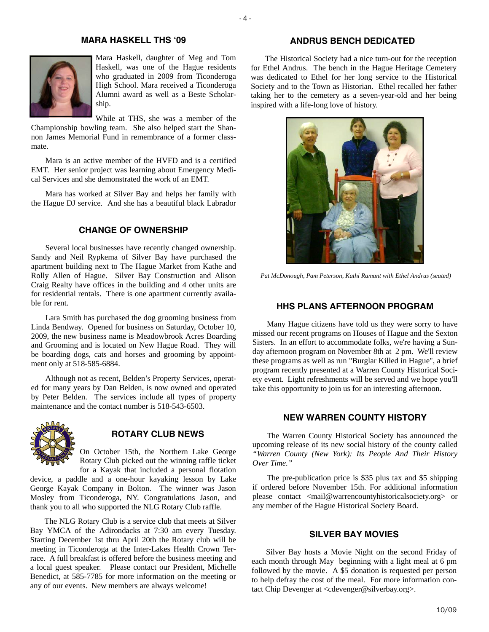### **MARA HASKELL THS '09**



Mara Haskell, daughter of Meg and Tom Haskell, was one of the Hague residents who graduated in 2009 from Ticonderoga High School. Mara received a Ticonderoga Alumni award as well as a Beste Scholarship.

While at THS, she was a member of the Championship bowling team. She also helped start the Shan-

non James Memorial Fund in remembrance of a former classmate.

Mara is an active member of the HVFD and is a certified EMT. Her senior project was learning about Emergency Medical Services and she demonstrated the work of an EMT.

Mara has worked at Silver Bay and helps her family with the Hague DJ service. And she has a beautiful black Labrador

## **CHANGE OF OWNERSHIP**

Several local businesses have recently changed ownership. Sandy and Neil Rypkema of Silver Bay have purchased the apartment building next to The Hague Market from Kathe and Rolly Allen of Hague. Silver Bay Construction and Alison Craig Realty have offices in the building and 4 other units are for residential rentals. There is one apartment currently available for rent.

Lara Smith has purchased the dog grooming business from Linda Bendway. Opened for business on Saturday, October 10, 2009, the new business name is Meadowbrook Acres Boarding and Grooming and is located on New Hague Road. They will be boarding dogs, cats and horses and grooming by appointment only at 518-585-6884.

Although not as recent, Belden's Property Services, operated for many years by Dan Belden, is now owned and operated by Peter Belden. The services include all types of property maintenance and the contact number is 518-543-6503.



## **ROTARY CLUB NEWS**

On October 15th, the Northern Lake George Rotary Club picked out the winning raffle ticket

for a Kayak that included a personal flotation device, a paddle and a one-hour kayaking lesson by Lake George Kayak Company in Bolton. The winner was Jason Mosley from Ticonderoga, NY. Congratulations Jason, and thank you to all who supported the NLG Rotary Club raffle.

The NLG Rotary Club is a service club that meets at Silver Bay YMCA of the Adirondacks at 7:30 am every Tuesday. Starting December 1st thru April 20th the Rotary club will be meeting in Ticonderoga at the Inter-Lakes Health Crown Terrace. A full breakfast is offered before the business meeting and a local guest speaker. Please contact our President, Michelle Benedict, at 585-7785 for more information on the meeting or any of our events. New members are always welcome!

## **ANDRUS BENCH DEDICATED**

The Historical Society had a nice turn-out for the reception for Ethel Andrus. The bench in the Hague Heritage Cemetery was dedicated to Ethel for her long service to the Historical Society and to the Town as Historian. Ethel recalled her father taking her to the cemetery as a seven-year-old and her being inspired with a life-long love of history.



*Pat McDonough, Pam Peterson, Kathi Ramant with Ethel Andrus (seated)* 

#### **HHS PLANS AFTERNOON PROGRAM**

Many Hague citizens have told us they were sorry to have missed our recent programs on Houses of Hague and the Sexton Sisters. In an effort to accommodate folks, we're having a Sunday afternoon program on November 8th at 2 pm. We'll review these programs as well as run "Burglar Killed in Hague", a brief program recently presented at a Warren County Historical Society event. Light refreshments will be served and we hope you'll take this opportunity to join us for an interesting afternoon.

#### **NEW WARREN COUNTY HISTORY**

The Warren County Historical Society has announced the upcoming release of its new social history of the county called *"Warren County (New York): Its People And Their History Over Time."*

The pre-publication price is \$35 plus tax and \$5 shipping if ordered before November 15th. For additional information please contact <mail@warrencountyhistoricalsociety.org> or any member of the Hague Historical Society Board.

#### **SILVER BAY MOVIES**

Silver Bay hosts a Movie Night on the second Friday of each month through May beginning with a light meal at 6 pm followed by the movie. A \$5 donation is requested per person to help defray the cost of the meal. For more information contact Chip Devenger at <cdevenger@silverbay.org>.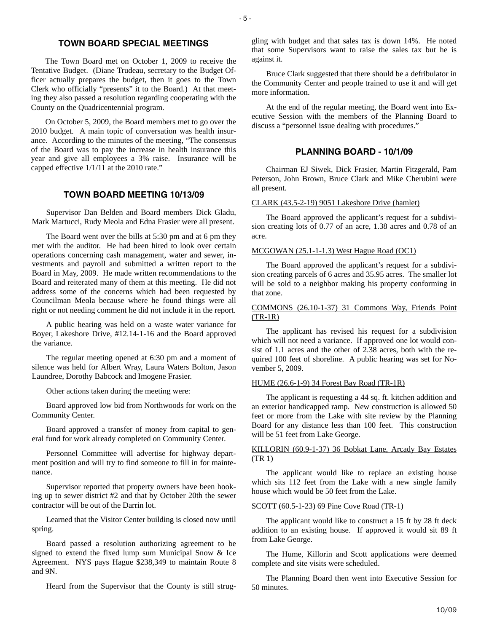## **TOWN BOARD SPECIAL MEETINGS**

The Town Board met on October 1, 2009 to receive the Tentative Budget. (Diane Trudeau, secretary to the Budget Officer actually prepares the budget, then it goes to the Town Clerk who officially "presents" it to the Board.) At that meeting they also passed a resolution regarding cooperating with the County on the Quadricentennial program.

On October 5, 2009, the Board members met to go over the 2010 budget. A main topic of conversation was health insurance. According to the minutes of the meeting, "The consensus of the Board was to pay the increase in health insurance this year and give all employees a 3% raise. Insurance will be capped effective 1/1/11 at the 2010 rate."

## **TOWN BOARD MEETING 10/13/09**

Supervisor Dan Belden and Board members Dick Gladu, Mark Martucci, Rudy Meola and Edna Frasier were all present.

The Board went over the bills at 5:30 pm and at 6 pm they met with the auditor. He had been hired to look over certain operations concerning cash management, water and sewer, investments and payroll and submitted a written report to the Board in May, 2009. He made written recommendations to the Board and reiterated many of them at this meeting. He did not address some of the concerns which had been requested by Councilman Meola because where he found things were all right or not needing comment he did not include it in the report.

A public hearing was held on a waste water variance for Boyer, Lakeshore Drive, #12.14-1-16 and the Board approved the variance.

The regular meeting opened at 6:30 pm and a moment of silence was held for Albert Wray, Laura Waters Bolton, Jason Laundree, Dorothy Babcock and Imogene Frasier.

Other actions taken during the meeting were:

Board approved low bid from Northwoods for work on the Community Center.

Board approved a transfer of money from capital to general fund for work already completed on Community Center.

Personnel Committee will advertise for highway department position and will try to find someone to fill in for maintenance.

Supervisor reported that property owners have been hooking up to sewer district #2 and that by October 20th the sewer contractor will be out of the Darrin lot.

Learned that the Visitor Center building is closed now until spring.

Board passed a resolution authorizing agreement to be signed to extend the fixed lump sum Municipal Snow & Ice Agreement. NYS pays Hague \$238,349 to maintain Route 8 and 9N.

Heard from the Supervisor that the County is still strug-

gling with budget and that sales tax is down 14%. He noted that some Supervisors want to raise the sales tax but he is against it.

Bruce Clark suggested that there should be a defribulator in the Community Center and people trained to use it and will get more information.

At the end of the regular meeting, the Board went into Executive Session with the members of the Planning Board to discuss a "personnel issue dealing with procedures."

#### **PLANNING BOARD - 10/1/09**

Chairman EJ Siwek, Dick Frasier, Martin Fitzgerald, Pam Peterson, John Brown, Bruce Clark and Mike Cherubini were all present.

#### CLARK (43.5-2-19) 9051 Lakeshore Drive (hamlet)

The Board approved the applicant's request for a subdivision creating lots of 0.77 of an acre, 1.38 acres and 0.78 of an acre.

#### MCGOWAN (25.1-1-1.3) West Hague Road (OC1)

The Board approved the applicant's request for a subdivision creating parcels of 6 acres and 35.95 acres. The smaller lot will be sold to a neighbor making his property conforming in that zone.

#### COMMONS (26.10-1-37) 31 Commons Way, Friends Point (TR-1R)

The applicant has revised his request for a subdivision which will not need a variance. If approved one lot would consist of 1.1 acres and the other of 2.38 acres, both with the required 100 feet of shoreline. A public hearing was set for November 5, 2009.

#### HUME (26.6-1-9) 34 Forest Bay Road (TR-1R)

The applicant is requesting a 44 sq. ft. kitchen addition and an exterior handicapped ramp. New construction is allowed 50 feet or more from the Lake with site review by the Planning Board for any distance less than 100 feet. This construction will be 51 feet from Lake George.

#### KILLORIN (60.9-1-37) 36 Bobkat Lane, Arcady Bay Estates (TR 1)

The applicant would like to replace an existing house which sits 112 feet from the Lake with a new single family house which would be 50 feet from the Lake.

#### SCOTT (60.5-1-23) 69 Pine Cove Road (TR-1)

The applicant would like to construct a 15 ft by 28 ft deck addition to an existing house. If approved it would sit 89 ft from Lake George.

The Hume, Killorin and Scott applications were deemed complete and site visits were scheduled.

The Planning Board then went into Executive Session for 50 minutes.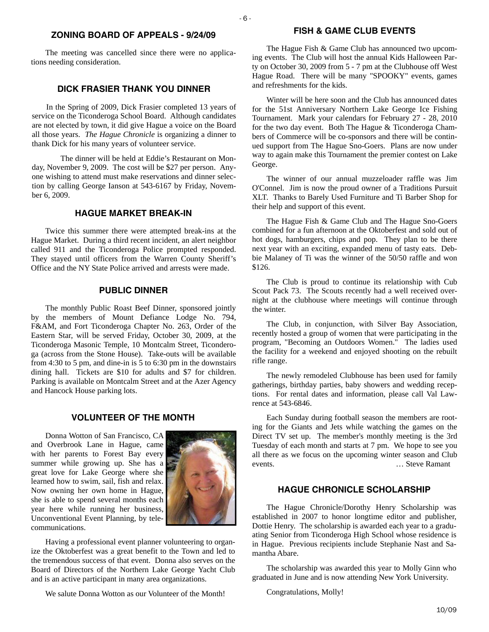## **ZONING BOARD OF APPEALS - 9/24/09**

- 6 -

The meeting was cancelled since there were no applications needing consideration.

## **DICK FRASIER THANK YOU DINNER**

In the Spring of 2009, Dick Frasier completed 13 years of service on the Ticonderoga School Board. Although candidates are not elected by town, it did give Hague a voice on the Board all those years. *The Hague Chronicle* is organizing a dinner to thank Dick for his many years of volunteer service.

 The dinner will be held at Eddie's Restaurant on Monday, November 9, 2009. The cost will be \$27 per person. Anyone wishing to attend must make reservations and dinner selection by calling George Ianson at 543-6167 by Friday, November 6, 2009.

#### **HAGUE MARKET BREAK-IN**

Twice this summer there were attempted break-ins at the Hague Market. During a third recent incident, an alert neighbor called 911 and the Ticonderoga Police prompted responded. They stayed until officers from the Warren County Sheriff's Office and the NY State Police arrived and arrests were made.

## **PUBLIC DINNER**

The monthly Public Roast Beef Dinner, sponsored jointly by the members of Mount Defiance Lodge No. 794, F&AM, and Fort Ticonderoga Chapter No. 263, Order of the Eastern Star, will be served Friday, October 30, 2009, at the Ticonderoga Masonic Temple, 10 Montcalm Street, Ticonderoga (across from the Stone House). Take-outs will be available from 4:30 to 5 pm, and dine-in is 5 to 6:30 pm in the downstairs dining hall. Tickets are \$10 for adults and \$7 for children. Parking is available on Montcalm Street and at the Azer Agency and Hancock House parking lots.

## **VOLUNTEER OF THE MONTH**

Donna Wotton of San Francisco, CA and Overbrook Lane in Hague, came with her parents to Forest Bay every summer while growing up. She has a great love for Lake George where she learned how to swim, sail, fish and relax. Now owning her own home in Hague, she is able to spend several months each year here while running her business, Unconventional Event Planning, by telecommunications.



Having a professional event planner volunteering to organize the Oktoberfest was a great benefit to the Town and led to the tremendous success of that event. Donna also serves on the Board of Directors of the Northern Lake George Yacht Club and is an active participant in many area organizations.

We salute Donna Wotton as our Volunteer of the Month!

## **FISH & GAME CLUB EVENTS**

The Hague Fish & Game Club has announced two upcoming events. The Club will host the annual Kids Halloween Party on October 30, 2009 from 5 - 7 pm at the Clubhouse off West Hague Road. There will be many "SPOOKY" events, games and refreshments for the kids.

Winter will be here soon and the Club has announced dates for the 51st Anniversary Northern Lake George Ice Fishing Tournament. Mark your calendars for February 27 - 28, 2010 for the two day event. Both The Hague & Ticonderoga Chambers of Commerce will be co-sponsors and there will be continued support from The Hague Sno-Goers. Plans are now under way to again make this Tournament the premier contest on Lake George.

The winner of our annual muzzeloader raffle was Jim O'Connel. Jim is now the proud owner of a Traditions Pursuit XLT. Thanks to Barely Used Furniture and Ti Barber Shop for their help and support of this event.

The Hague Fish & Game Club and The Hague Sno-Goers combined for a fun afternoon at the Oktoberfest and sold out of hot dogs, hamburgers, chips and pop. They plan to be there next year with an exciting, expanded menu of tasty eats. Debbie Malaney of Ti was the winner of the 50/50 raffle and won \$126.

The Club is proud to continue its relationship with Cub Scout Pack 73. The Scouts recently had a well received overnight at the clubhouse where meetings will continue through the winter.

The Club, in conjunction, with Silver Bay Association, recently hosted a group of women that were participating in the program, "Becoming an Outdoors Women." The ladies used the facility for a weekend and enjoyed shooting on the rebuilt rifle range.

The newly remodeled Clubhouse has been used for family gatherings, birthday parties, baby showers and wedding receptions. For rental dates and information, please call Val Lawrence at 543-6846.

Each Sunday during football season the members are rooting for the Giants and Jets while watching the games on the Direct TV set up. The member's monthly meeting is the 3rd Tuesday of each month and starts at 7 pm. We hope to see you all there as we focus on the upcoming winter season and Club events. … Steve Ramant

## **HAGUE CHRONICLE SCHOLARSHIP**

The Hague Chronicle/Dorothy Henry Scholarship was established in 2007 to honor longtime editor and publisher, Dottie Henry. The scholarship is awarded each year to a graduating Senior from Ticonderoga High School whose residence is in Hague. Previous recipients include Stephanie Nast and Samantha Abare.

The scholarship was awarded this year to Molly Ginn who graduated in June and is now attending New York University.

Congratulations, Molly!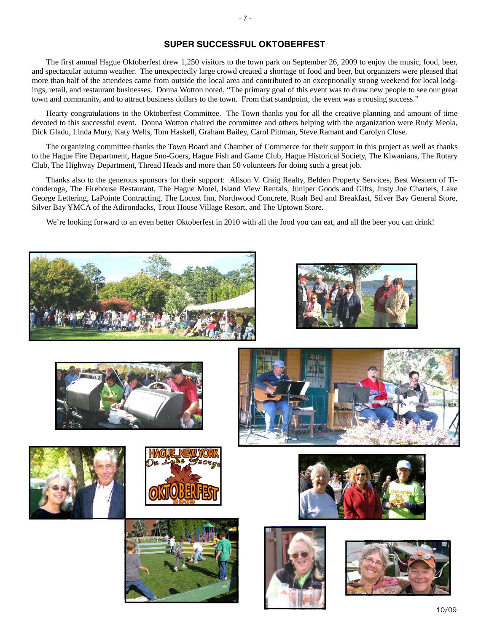## **SUPER SUCCESSFUL OKTOBERFEST**

The first annual Hague Oktoberfest drew 1,250 visitors to the town park on September 26, 2009 to enjoy the music, food, beer, and spectacular autumn weather. The unexpectedly large crowd created a shortage of food and beer, but organizers were pleased that more than half of the attendees came from outside the local area and contributed to an exceptionally strong weekend for local lodgings, retail, and restaurant businesses. Donna Wotton noted, "The primary goal of this event was to draw new people to see our great town and community, and to attract business dollars to the town. From that standpoint, the event was a rousing success."

Hearty congratulations to the Oktoberfest Committee. The Town thanks you for all the creative planning and amount of time devoted to this successful event. Donna Wotton chaired the committee and others helping with the organization were Rudy Meola, Dick Gladu, Linda Mury, Katy Wells, Tom Haskell, Graham Bailey, Carol Pittman, Steve Ramant and Carolyn Close.

The organizing committee thanks the Town Board and Chamber of Commerce for their support in this project as well as thanks to the Hague Fire Department, Hague Sno-Goers, Hague Fish and Game Club, Hague Historical Society, The Kiwanians, The Rotary Club, The Highway Department, Thread Heads and more than 50 volunteers for doing such a great job.

Thanks also to the generous sponsors for their support: Alison V. Craig Realty, Belden Property Services, Best Western of Ticonderoga, The Firehouse Restaurant, The Hague Motel, Island View Rentals, Juniper Goods and Gifts, Justy Joe Charters, Lake George Lettering, LaPointe Contracting, The Locust Inn, Northwood Concrete, Ruah Bed and Breakfast, Silver Bay General Store, Silver Bay YMCA of the Adirondacks, Trout House Village Resort, and The Uptown Store.

We're looking forward to an even better Oktoberfest in 2010 with all the food you can eat, and all the beer you can drink!



















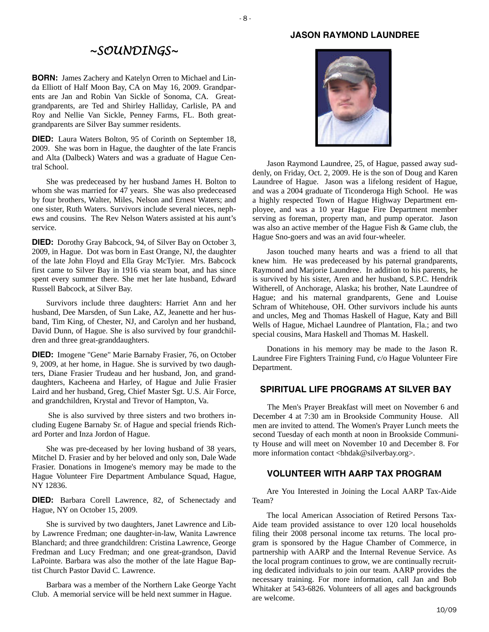#### **JASON RAYMOND LAUNDREE**

#### $-8$  -

# *~SOUNDINGS~*

**BORN:** James Zachery and Katelyn Orren to Michael and Linda Elliott of Half Moon Bay, CA on May 16, 2009. Grandparents are Jan and Robin Van Sickle of Sonoma, CA. Greatgrandparents, are Ted and Shirley Halliday, Carlisle, PA and Roy and Nellie Van Sickle, Penney Farms, FL. Both greatgrandparents are Silver Bay summer residents.

**DIED:** Laura Waters Bolton, 95 of Corinth on September 18, 2009. She was born in Hague, the daughter of the late Francis and Alta (Dalbeck) Waters and was a graduate of Hague Central School.

She was predeceased by her husband James H. Bolton to whom she was married for 47 years. She was also predeceased by four brothers, Walter, Miles, Nelson and Ernest Waters; and one sister, Ruth Waters. Survivors include several nieces, nephews and cousins. The Rev Nelson Waters assisted at his aunt's service.

**DIED:** Dorothy Gray Babcock, 94, of Silver Bay on October 3, 2009, in Hague. Dot was born in East Orange, NJ, the daughter of the late John Floyd and Ella Gray McTyier. Mrs. Babcock first came to Silver Bay in 1916 via steam boat, and has since spent every summer there. She met her late husband, Edward Russell Babcock, at Silver Bay.

Survivors include three daughters: Harriet Ann and her husband, Dee Marsden, of Sun Lake, AZ, Jeanette and her husband, Tim King, of Chester, NJ, and Carolyn and her husband, David Dunn, of Hague. She is also survived by four grandchildren and three great-granddaughters.

**DIED:** Imogene "Gene" Marie Barnaby Frasier, 76, on October 9, 2009, at her home, in Hague. She is survived by two daughters, Diane Frasier Trudeau and her husband, Jon, and granddaughters, Kacheena and Harley, of Hague and Julie Frasier Laird and her husband, Greg, Chief Master Sgt. U.S. Air Force, and grandchildren, Krystal and Trevor of Hampton, Va.

 She is also survived by three sisters and two brothers including Eugene Barnaby Sr. of Hague and special friends Richard Porter and Inza Jordon of Hague.

She was pre-deceased by her loving husband of 38 years, Mitchel D. Frasier and by her beloved and only son, Dale Wade Frasier. Donations in Imogene's memory may be made to the Hague Volunteer Fire Department Ambulance Squad, Hague, NY 12836.

**DIED:** Barbara Corell Lawrence, 82, of Schenectady and Hague, NY on October 15, 2009.

She is survived by two daughters, Janet Lawrence and Libby Lawrence Fredman; one daughter-in-law, Wanita Lawrence Blanchard; and three grandchildren: Cristina Lawrence, George Fredman and Lucy Fredman; and one great-grandson, David LaPointe. Barbara was also the mother of the late Hague Baptist Church Pastor David C. Lawrence.

Barbara was a member of the Northern Lake George Yacht Club. A memorial service will be held next summer in Hague.



Jason Raymond Laundree, 25, of Hague, passed away suddenly, on Friday, Oct. 2, 2009. He is the son of Doug and Karen Laundree of Hague. Jason was a lifelong resident of Hague, and was a 2004 graduate of Ticonderoga High School. He was a highly respected Town of Hague Highway Department employee, and was a 10 year Hague Fire Department member serving as foreman, property man, and pump operator. Jason was also an active member of the Hague Fish & Game club, the Hague Sno-goers and was an avid four-wheeler.

Jason touched many hearts and was a friend to all that knew him. He was predeceased by his paternal grandparents, Raymond and Marjorie Laundree. In addition to his parents, he is survived by his sister, Aren and her husband, S.P.C. Hendrik Witherell, of Anchorage, Alaska; his brother, Nate Laundree of Hague; and his maternal grandparents, Gene and Louise Schram of Whitehouse, OH. Other survivors include his aunts and uncles, Meg and Thomas Haskell of Hague, Katy and Bill Wells of Hague, Michael Laundree of Plantation, Fla.; and two special cousins, Mara Haskell and Thomas M. Haskell.

Donations in his memory may be made to the Jason R. Laundree Fire Fighters Training Fund, c/o Hague Volunteer Fire Department.

#### **SPIRITUAL LIFE PROGRAMS AT SILVER BAY**

The Men's Prayer Breakfast will meet on November 6 and December 4 at 7:30 am in Brookside Community House. All men are invited to attend. The Women's Prayer Lunch meets the second Tuesday of each month at noon in Brookside Community House and will meet on November 10 and December 8. For more information contact <br/>bhdak@silverbay.org>.

## **VOLUNTEER WITH AARP TAX PROGRAM**

Are You Interested in Joining the Local AARP Tax-Aide Team?

The local American Association of Retired Persons Tax-Aide team provided assistance to over 120 local households filing their 2008 personal income tax returns. The local program is sponsored by the Hague Chamber of Commerce, in partnership with AARP and the Internal Revenue Service. As the local program continues to grow, we are continually recruiting dedicated individuals to join our team. AARP provides the necessary training. For more information, call Jan and Bob Whitaker at 543-6826. Volunteers of all ages and backgrounds are welcome.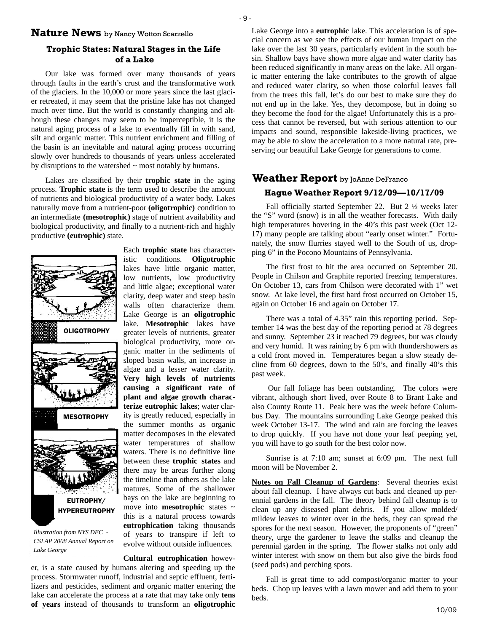### **Nature News** by Nancy Wotton Scarzello

## **Trophic States: Natural Stages in the Life of a Lake**

Our lake was formed over many thousands of years through faults in the earth's crust and the transformative work of the glaciers. In the 10,000 or more years since the last glacier retreated, it may seem that the pristine lake has not changed much over time. But the world is constantly changing and although these changes may seem to be imperceptible, it is the natural aging process of a lake to eventually fill in with sand, silt and organic matter. This nutrient enrichment and filling of the basin is an inevitable and natural aging process occurring slowly over hundreds to thousands of years unless accelerated by disruptions to the watershed  $\sim$  most notably by humans.

Lakes are classified by their **trophic state** in the aging process. **Trophic state** is the term used to describe the amount of nutrients and biological productivity of a water body. Lakes naturally move from a nutrient-poor **(oligotrophic)** condition to an intermediate **(mesotrophic)** stage of nutrient availability and biological productivity, and finally to a nutrient-rich and highly productive **(eutrophic)** state.



*Illustration from NYS DEC - CSLAP 2008 Annual Report on Lake George* 

Each **trophic state** has characteristic conditions. **Oligotrophic**  lakes have little organic matter, low nutrients, low productivity and little algae; exceptional water clarity, deep water and steep basin walls often characterize them. Lake George is an **oligotrophic**  lake. **Mesotrophic** lakes have greater levels of nutrients, greater biological productivity, more organic matter in the sediments of sloped basin walls, an increase in algae and a lesser water clarity. **Very high levels of nutrients causing a significant rate of plant and algae growth characterize eutrophic lakes**; water clarity is greatly reduced, especially in the summer months as organic matter decomposes in the elevated water temperatures of shallow waters. There is no definitive line between these **trophic states** and there may be areas further along the timeline than others as the lake matures. Some of the shallower bays on the lake are beginning to move into **mesotrophic** states ~ this is a natural process towards **eutrophication** taking thousands of years to transpire if left to evolve without outside influences.

#### **Cultural eutrophication** howev-

 $10/09$ er, is a state caused by humans altering and speeding up the process. Stormwater runoff, industrial and septic effluent, fertilizers and pesticides, sediment and organic matter entering the lake can accelerate the process at a rate that may take only **tens of years** instead of thousands to transform an **oligotrophic** 

Lake George into a **eutrophic** lake. This acceleration is of special concern as we see the effects of our human impact on the lake over the last 30 years, particularly evident in the south basin. Shallow bays have shown more algae and water clarity has been reduced significantly in many areas on the lake. All organic matter entering the lake contributes to the growth of algae and reduced water clarity, so when those colorful leaves fall from the trees this fall, let's do our best to make sure they do not end up in the lake. Yes, they decompose, but in doing so they become the food for the algae! Unfortunately this is a process that cannot be reversed, but with serious attention to our impacts and sound, responsible lakeside-living practices, we may be able to slow the acceleration to a more natural rate, preserving our beautiful Lake George for generations to come.

# **Hague Weather Report 9/12/09—10/17/09 Weather Report** by JoAnne DeFranco

Fall officially started September 22. But 2 ½ weeks later the "S" word (snow) is in all the weather forecasts. With daily high temperatures hovering in the 40's this past week (Oct 12- 17) many people are talking about "early onset winter." Fortunately, the snow flurries stayed well to the South of us, dropping 6" in the Pocono Mountains of Pennsylvania.

The first frost to hit the area occurred on September 20. People in Chilson and Graphite reported freezing temperatures. On October 13, cars from Chilson were decorated with 1" wet snow. At lake level, the first hard frost occurred on October 15, again on October 16 and again on October 17.

There was a total of 4.35" rain this reporting period. September 14 was the best day of the reporting period at 78 degrees and sunny. September 23 it reached 79 degrees, but was cloudy and very humid. It was raining by 6 pm with thundershowers as a cold front moved in. Temperatures began a slow steady decline from 60 degrees, down to the 50's, and finally 40's this past week.

 Our fall foliage has been outstanding. The colors were vibrant, although short lived, over Route 8 to Brant Lake and also County Route 11. Peak here was the week before Columbus Day. The mountains surrounding Lake George peaked this week October 13-17. The wind and rain are forcing the leaves to drop quickly. If you have not done your leaf peeping yet, you will have to go south for the best color now.

Sunrise is at 7:10 am; sunset at 6:09 pm. The next full moon will be November 2.

**Notes on Fall Cleanup of Gardens**: Several theories exist about fall cleanup. I have always cut back and cleaned up perennial gardens in the fall. The theory behind fall cleanup is to clean up any diseased plant debris. If you allow molded/ mildew leaves to winter over in the beds, they can spread the spores for the next season. However, the proponents of "green" theory, urge the gardener to leave the stalks and cleanup the perennial garden in the spring. The flower stalks not only add winter interest with snow on them but also give the birds food (seed pods) and perching spots.

Fall is great time to add compost/organic matter to your beds. Chop up leaves with a lawn mower and add them to your beds.